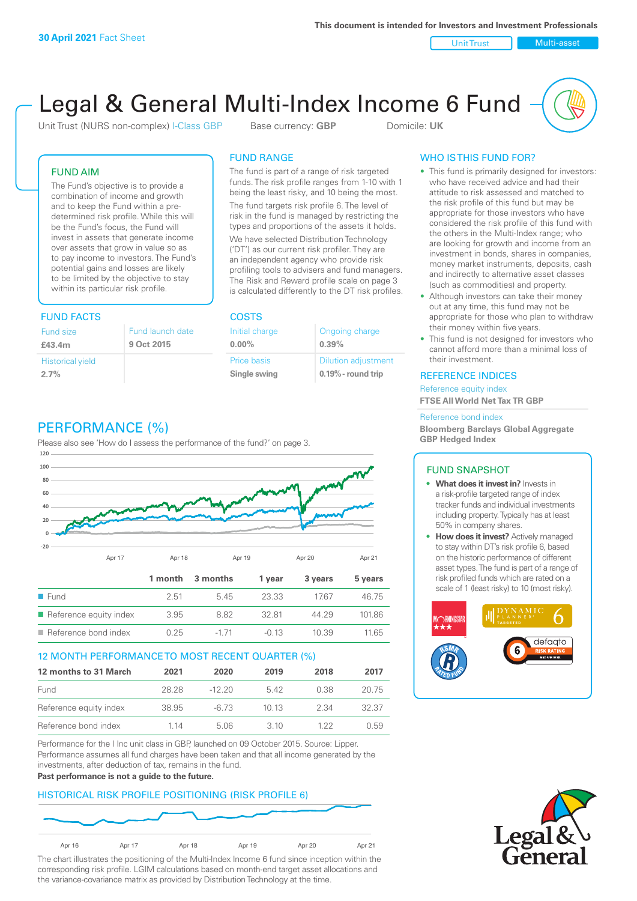Unit Trust Nulti-asset

# Legal & General Multi-Index Income 6 Fund

Unit Trust (NURS non-complex) I-Class GBP Base currency: **GBP** Domicile: UK

### FUND AIM

The Fund's objective is to provide a combination of income and growth and to keep the Fund within a predetermined risk profile. While this will be the Fund's focus, the Fund will invest in assets that generate income over assets that grow in value so as to pay income to investors. The Fund's potential gains and losses are likely to be limited by the objective to stay within its particular risk profile.

### FUND FACTS COSTS

| Fund size                       | Fund launch date |
|---------------------------------|------------------|
| £43.4m                          | 9 Oct 2015       |
| <b>Historical yield</b><br>2.7% |                  |

### FUND RANGE

The fund is part of a range of risk targeted funds. The risk profile ranges from 1-10 with 1 being the least risky, and 10 being the most.

The fund targets risk profile 6. The level of risk in the fund is managed by restricting the types and proportions of the assets it holds. We have selected Distribution Technology ('DT') as our current risk profiler. They are an independent agency who provide risk profiling tools to advisers and fund managers. The Risk and Reward profile scale on page 3 is calculated differently to the DT risk profiles.

| Initial charge | Ongoing charge             |
|----------------|----------------------------|
| $0.00\%$       | 0.39%                      |
| Price basis    | <b>Dilution adjustment</b> |
| Single swing   | $0.19\%$ - round trip      |

### WHO IS THIS FUND FOR?

- This fund is primarily designed for investors: who have received advice and had their attitude to risk assessed and matched to the risk profile of this fund but may be appropriate for those investors who have considered the risk profile of this fund with the others in the Multi-Index range; who are looking for growth and income from an investment in bonds, shares in companies, money market instruments, deposits, cash and indirectly to alternative asset classes (such as commodities) and property.
- Although investors can take their money out at any time, this fund may not be appropriate for those who plan to withdraw their money within five years.
- This fund is not designed for investors who cannot afford more than a minimal loss of their investment.

### REFERENCE INDICES

Reference equity index **FTSE All World Net Tax TR GBP**

#### Reference bond index

**Bloomberg Barclays Global Aggregate GBP Hedged Index**

### FUND SNAPSHOT

- **• What does it invest in?** Invests in a risk-profile targeted range of index tracker funds and individual investments including property. Typically has at least 50% in company shares.
- **• How does it invest?** Actively managed to stay within DT's risk profile 6, based on the historic performance of different asset types. The fund is part of a range of risk profiled funds which are rated on a scale of 1 (least risky) to 10 (most risky).





### PERFORMANCE (%)

Please also see 'How do I assess the performance of the fund?' on page 3.



### 12 MONTH PERFORMANCE TO MOST RECENT QUARTER (%)

| 12 months to 31 March  | 2021  | 2020     | 2019 | 2018 | 2017  |
|------------------------|-------|----------|------|------|-------|
| Fund                   | 28.28 | $-12.20$ | 542  | 0.38 | 20.75 |
| Reference equity index | 38.95 | -6.73    | 1013 | 2.34 | 32.37 |
| Reference bond index   | 1 14  | 5.06     | 3 10 | 1 22 | 0.59  |

Performance for the I Inc unit class in GBP, launched on 09 October 2015. Source: Lipper. Performance assumes all fund charges have been taken and that all income generated by the investments, after deduction of tax, remains in the fund.

#### **Past performance is not a guide to the future.**

### HISTORICAL RISK PROFILE POSITIONING (RISK PROFILE 6)



The chart illustrates the positioning of the Multi-Index Income 6 fund since inception within the corresponding risk profile. LGIM calculations based on month-end target asset allocations and the variance-covariance matrix as provided by Distribution Technology at the time.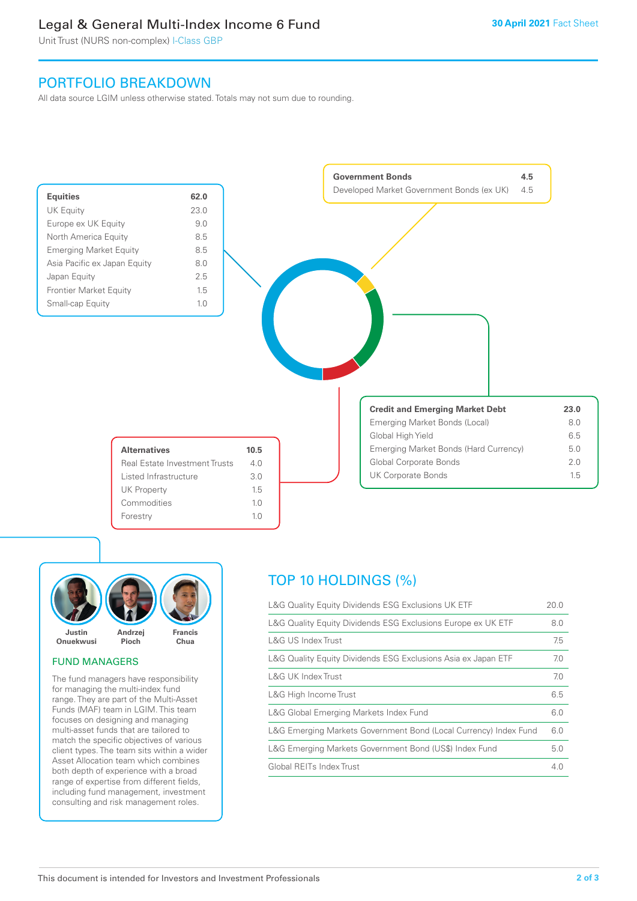### Legal & General Multi-Index Income 6 Fund

Unit Trust (NURS non-complex) I-Class GBP

### PORTFOLIO BREAKDOWN

All data source LGIM unless otherwise stated. Totals may not sum due to rounding.





### FUND MANAGERS

The fund managers have responsibility for managing the multi-index fund range. They are part of the Multi-Asset Funds (MAF) team in LGIM. This team focuses on designing and managing multi-asset funds that are tailored to match the specific objectives of various client types. The team sits within a wider Asset Allocation team which combines both depth of experience with a broad range of expertise from different fields, including fund management, investment consulting and risk management roles.

## TOP 10 HOLDINGS (%)

| L&G Quality Equity Dividends ESG Exclusions UK ETF               | 20.0 |
|------------------------------------------------------------------|------|
| L&G Quality Equity Dividends ESG Exclusions Europe ex UK ETF     | 8.0  |
| L&G US Index Trust                                               | 7.5  |
| L&G Quality Equity Dividends ESG Exclusions Asia ex Japan ETF    | 7.0  |
| <b>L&amp;G UK Index Trust</b>                                    | 7.0  |
| L&G High Income Trust                                            | 6.5  |
| L&G Global Emerging Markets Index Fund                           | 6.0  |
| L&G Emerging Markets Government Bond (Local Currency) Index Fund | 6.0  |
| L&G Emerging Markets Government Bond (US\$) Index Fund           | 5.0  |
| Global REITs Index Trust                                         | 4.0  |